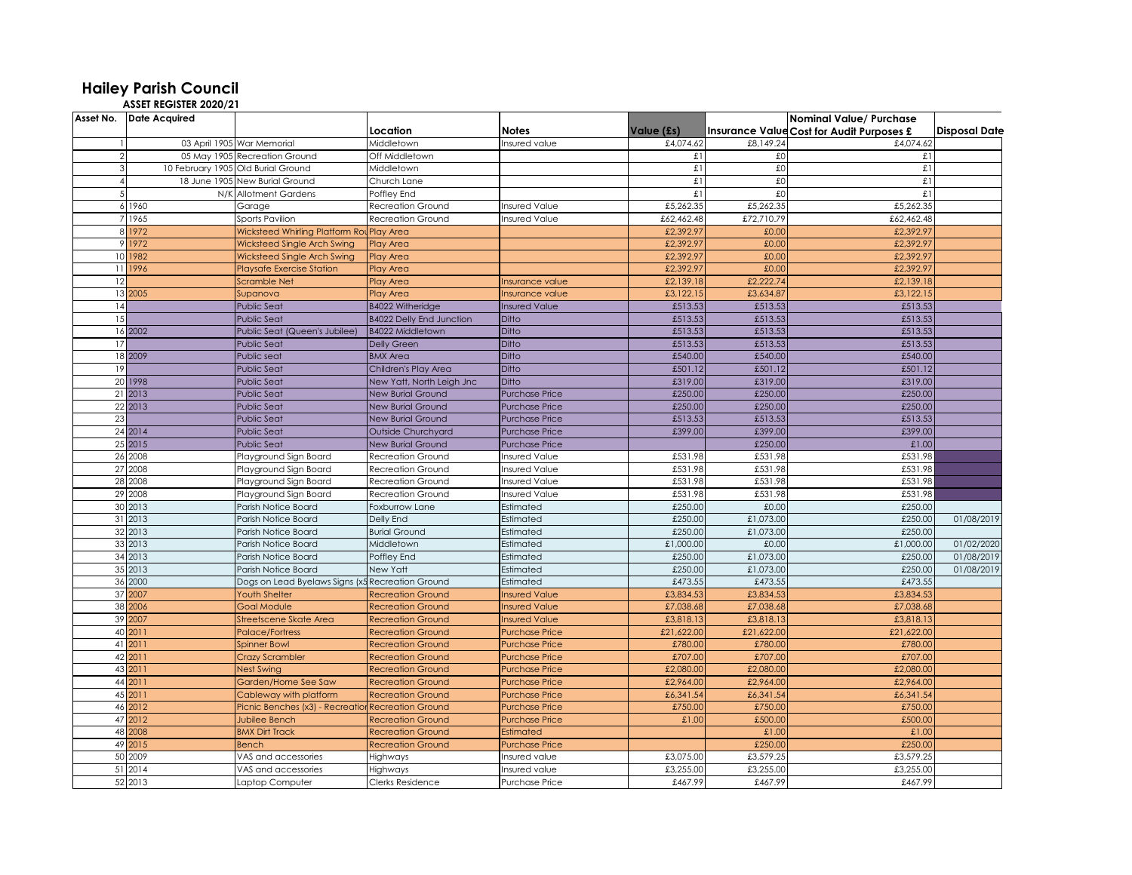## **Hailey Parish Council ASSET REGISTER 2020/21**

|                | Asset No. Date Acquired |                                                  |                                 |                       |             |            |                                                  |                      |
|----------------|-------------------------|--------------------------------------------------|---------------------------------|-----------------------|-------------|------------|--------------------------------------------------|----------------------|
|                |                         |                                                  | Location                        | <b>Notes</b>          | Value (£s)  |            | <b>Insurance Value Cost for Audit Purposes £</b> | <b>Disposal Date</b> |
|                |                         | 03 April 1905 War Memorial                       | Middletown                      | Insured value         | £4,074.62   | £8,149.24  | £4,074.62                                        |                      |
|                |                         | 05 May 1905 Recreation Ground                    | Off Middletown                  |                       | £1          | £O         | £1                                               |                      |
| 3              |                         | 10 February 1905 Old Burial Ground               | Middletown                      |                       | $\pounds$ l | £O         | £1                                               |                      |
| $\overline{4}$ |                         | 18 June 1905 New Burial Ground                   | Church Lane                     |                       | £l          | £0         | £1                                               |                      |
| 5              |                         | N/K Allotment Gardens                            | Poffley End                     |                       | £1          | £0         | £1                                               |                      |
|                | 6 1960                  | Garage                                           | Recreation Ground               | <b>Insured Value</b>  | £5,262.35   | £5,262.35  | £5,262.35                                        |                      |
|                | 1965                    | Sports Pavilion                                  | <b>Recreation Ground</b>        | <b>Insured Value</b>  | £62,462.48  | £72,710.79 | £62,462.48                                       |                      |
|                | 8 1972                  | <b>Wicksteed Whirling Platform Ro</b>            | <b>Play Area</b>                |                       | £2,392.97   | £0.00      | £2,392.97                                        |                      |
|                | 9 1972                  | Wicksteed Single Arch Swing                      | <b>Play Area</b>                |                       | £2,392.97   | £0.00      | £2,392.97                                        |                      |
|                | 10 1982                 | Wicksteed Single Arch Swing                      | <b>Play Area</b>                |                       | £2,392.97   | £0.00      | £2,392.97                                        |                      |
|                | 11 1996                 | <b>Playsafe Exercise Station</b>                 | <b>Play Area</b>                |                       | £2,392.97   | £0.00      | £2,392.97                                        |                      |
| 12             |                         | <b>Scramble Net</b>                              | <b>Play Area</b>                | Insurance value       | £2,139.18   | £2,222.74  | £2,139.18                                        |                      |
|                | 13 2005                 | Supanova                                         | Play Area                       | nsurance value        | £3,122.15   | £3,634.87  | £3,122.15                                        |                      |
| 14             |                         | <b>Public Seat</b>                               | <b>B4022 Witheridge</b>         | <b>Insured Value</b>  | £513.53     | £513.53    | £513.53                                          |                      |
| 15             |                         | <b>Public Seat</b>                               | <b>B4022 Delly End Junction</b> | Ditto                 | £513.53     | £513.53    | £513.53                                          |                      |
|                | 16 2002                 | Public Seat (Queen's Jubilee)                    | <b>B4022 Middletown</b>         | Ditto                 | £513.53     | £513.53    | £513.53                                          |                      |
| 17             |                         | <b>Public Seat</b>                               | Delly Green                     | Ditto                 | £513.53     | £513.53    | £513.53                                          |                      |
|                | 18 2009                 | Public seat                                      | <b>BMX Area</b>                 | Ditto                 | £540.00     | £540.00    | £540.00                                          |                      |
| 19             |                         | <b>Public Seat</b>                               | Children's Play Area            | Ditto                 | £501.12     | £501.12    | £501.12                                          |                      |
|                | 20 1998                 | <b>Public Seat</b>                               | New Yatt, North Leigh Jnc       | Ditto                 | £319.00     | £319.00    | £319.00                                          |                      |
|                | 21 2013                 | <b>Public Seat</b>                               | <b>New Burial Ground</b>        | <b>Purchase Price</b> | £250.00     | £250.00    | £250.00                                          |                      |
|                | 22 2013                 | <b>Public Seat</b>                               | <b>New Burial Ground</b>        | <b>Purchase Price</b> | £250.00     | £250.00    | £250.00                                          |                      |
| 23             |                         | <b>Public Seat</b>                               | <b>New Burial Ground</b>        | <b>Purchase Price</b> | £513.53     | £513.53    | £513.53                                          |                      |
|                | 24 20 14                | <b>Public Seat</b>                               | Outside Churchyard              | <b>Purchase Price</b> | £399.00     | £399.00    | £399.00                                          |                      |
|                | 25 2015                 | <b>Public Seat</b>                               | <b>New Burial Ground</b>        | <b>Purchase Price</b> |             | £250.00    | £1.00                                            |                      |
|                | 26 2008                 | Playground Sign Board                            | Recreation Ground               | <b>Insured Value</b>  | £531.98     | £531.98    | £531.98                                          |                      |
|                | 27 2008                 | Playground Sign Board                            | Recreation Ground               | <b>Insured Value</b>  | £531.98     | £531.98    | £531.98                                          |                      |
|                | 28 2008                 | Playground Sign Board                            | <b>Recreation Ground</b>        | <b>Insured Value</b>  | £531.98     | £531.98    | £531.98                                          |                      |
|                | 29 2008                 | Playground Sign Board                            | <b>Recreation Ground</b>        | <b>Insured Value</b>  | £531.98     | £531.98    | £531.98                                          |                      |
|                | 30 2013                 | Parish Notice Board                              | Foxburrow Lane                  | Estimated             | £250.00     | £0.00      | £250.00                                          |                      |
|                | 31 2013                 | Parish Notice Board                              | Delly End                       | Estimated             | £250.00     | £1,073.00  | £250.00                                          | 01/08/2019           |
|                | 32 2013                 | Parish Notice Board                              | <b>Burial Ground</b>            | Estimated             | £250.00     | £1,073.00  | £250.00                                          |                      |
|                | 33 2013                 | Parish Notice Board                              | Middletown                      | Estimated             | £1,000.00   | £0.00      | £1,000.00                                        | 01/02/2020           |
|                | 34 2013                 | Parish Notice Board                              | Poffley End                     | Estimated             | £250.00     | £1,073.00  | £250.00                                          | 01/08/2019           |
|                | 35 2013                 | Parish Notice Board                              | New Yatt                        | Estimated             | £250.00     | £1,073.00  | £250.00                                          | 01/08/2019           |
|                | 36 2000                 | Dogs on Lead Byelaws Signs (x5 Recreation Ground |                                 | Estimated             | £473.55     | £473.55    | £473.55                                          |                      |
|                | 37 2007                 | <b>Youth Shelter</b>                             | <b>Recreation Ground</b>        | <b>Insured Value</b>  | £3,834.53   | £3,834.53  | £3,834.53                                        |                      |
|                | 38 2006                 | <b>Goal Module</b>                               | <b>Recreation Ground</b>        | <b>Insured Value</b>  | £7,038.68   | £7,038.68  | £7,038.68                                        |                      |
|                | 39 2007                 | Streetscene Skate Area                           | <b>Recreation Ground</b>        | nsured Value          | £3,818.13   | £3,818.13  | £3,818.13                                        |                      |
|                | 40 2011                 | <b>Palace/Fortress</b>                           | <b>Recreation Ground</b>        | <b>Purchase Price</b> | £21,622.00  | £21,622.00 | £21,622.00                                       |                      |
|                | 41 2011                 | Spinner Bowl                                     | <b>Recreation Ground</b>        | Purchase Price        | £780.00     | £780.00    | £780.00                                          |                      |
|                | 42 2011                 | <b>Crazy Scrambler</b>                           | <b>Recreation Ground</b>        | <b>Purchase Price</b> | £707.00     | £707.00    | £707.00                                          |                      |
|                | 43 2011                 | <b>Nest Swing</b>                                | <b>Recreation Ground</b>        | <b>Purchase Price</b> | £2,080.00   | £2,080.00  | £2,080.00                                        |                      |
|                | 44 2011                 | Garden/Home See Saw                              | <b>Recreation Ground</b>        | <b>Purchase Price</b> | £2,964.00   | £2,964.00  | £2,964.00                                        |                      |
|                | 45 2011                 | Cableway with platform                           | <b>Recreation Ground</b>        | <b>Purchase Price</b> | £6,341.54   | £6,341.54  | £6,341.54                                        |                      |
|                | 46 2012                 | Picnic Benches (x3) - Recreation                 | <b>Recreation Ground</b>        | <b>Purchase Price</b> | £750.00     | £750.00    | £750.00                                          |                      |
|                | 47 2012                 | Jubilee Bench                                    | <b>Recreation Ground</b>        | <b>Purchase Price</b> | £1.00       | £500.00    | £500.00                                          |                      |
|                | 48 2008                 | <b>BMX Dirt Track</b>                            | <b>Recreation Ground</b>        | Estimated             |             | £1.00      | £1.00                                            |                      |
|                | 49 2015                 | Bench                                            | <b>Recreation Ground</b>        | Purchase Price        |             | £250.00    | £250.00                                          |                      |
|                | 50 2009                 | VAS and accessories                              | Highways                        | nsured value          | £3,075.00   | £3,579.2   | £3,579.25                                        |                      |
|                | 51 2014                 | VAS and accessories                              | Highways                        | Insured value         | £3,255.00   | £3,255.00  | £3,255.00                                        |                      |
|                | 52 2013                 | Laptop Computer                                  | Clerks Residence                | <b>Purchase Price</b> | £467.99     | £467.99    | £467.99                                          |                      |